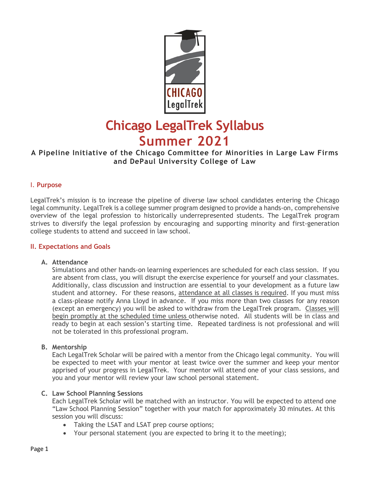

# **Chicago LegalTrek Syllabus Summer 2021**

# **A Pipeline Initiative of the Chicago Committee for Minorities in Large Law Firms and DePaul University College of Law**

#### I. **Purpose**

LegalTrek's mission is to increase the pipeline of diverse law school candidates entering the Chicago legal community. LegalTrek is a college summer program designed to provide a hands-on, comprehensive overview of the legal profession to historically underrepresented students. The LegalTrek program strives to diversify the legal profession by encouraging and supporting minority and first-generation college students to attend and succeed in law school.

#### **II. Expectations and Goals**

#### **A. Attendance**

Simulations and other hands-on learning experiences are scheduled for each class session. If you are absent from class, you will disrupt the exercise experience for yourself and your classmates. Additionally, class discussion and instruction are essential to your development as a future law student and attorney. For these reasons, attendance at all classes is required. If you must miss a class-please notify Anna Lloyd in advance. If you miss more than two classes for any reason (except an emergency) you will be asked to withdraw from the LegalTrek program. Classes will begin promptly at the scheduled time unless otherwise noted. All students will be in class and ready to begin at each session's starting time. Repeated tardiness is not professional and will not be tolerated in this professional program.

#### **B. Mentorship**

Each LegalTrek Scholar will be paired with a mentor from the Chicago legal community. You will be expected to meet with your mentor at least twice over the summer and keep your mentor apprised of your progress in LegalTrek. Your mentor will attend one of your class sessions, and you and your mentor will review your law school personal statement.

#### **C. Law School Planning Sessions**

Each LegalTrek Scholar will be matched with an instructor. You will be expected to attend one "Law School Planning Session" together with your match for approximately 30 minutes. At this session you will discuss:

- Taking the LSAT and LSAT prep course options;
- Your personal statement (you are expected to bring it to the meeting);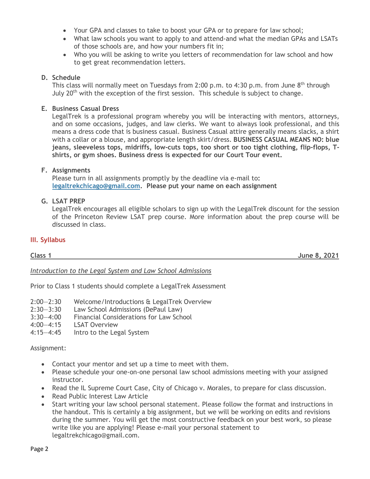- Your GPA and classes to take to boost your GPA or to prepare for law school;
- What law schools you want to apply to and attend-and what the median GPAs and LSATs of those schools are, and how your numbers fit in;
- Who you will be asking to write you letters of recommendation for law school and how to get great recommendation letters.

#### **D. Schedule**

This class will normally meet on Tuesdays from 2:00 p.m. to 4:30 p.m. from June 8<sup>th</sup> through July  $20<sup>th</sup>$  with the exception of the first session. This schedule is subject to change.

#### **E. Business Casual Dress**

LegalTrek is a professional program whereby you will be interacting with mentors, attorneys, and on some occasions, judges, and law clerks. We want to always look professional, and this means a dress code that is business casual. Business Casual attire generally means slacks, a shirt with a collar or a blouse, and appropriate length skirt/dress. **BUSINESS CASUAL MEANS NO: blue jeans, sleeveless tops, midriffs, low-cuts tops, too short or too tight clothing, flip-flops, Tshirts, or gym shoes. Business dress is expected for our Court Tour event.** 

#### **F. Assignments**

Please turn in all assignments promptly by the deadline via e-mail to**: [legaltrekchicago@gmail.com.](mailto:legaltrekchicago@gmail.com) Please put your name on each assignment**

#### **G. LSAT PREP**

LegalTrek encourages all eligible scholars to sign up with the LegalTrek discount for the session of the Princeton Review LSAT prep course. More information about the prep course will be discussed in class.

#### **III. Syllabus**

**Class 1 June 8, 2021**

*Introduction to the Legal System and Law School Admissions*

Prior to Class 1 students should complete a LegalTrek Assessment

- 2:00–2:30 Welcome/Introductions & LegalTrek Overview<br>2:30–3:30 Law School Admissions (DePaul Law)
- Law School Admissions (DePaul Law)
- 3:30—4:00 Financial Considerations for Law School
- 4:00—4:15 LSAT Overview
- Intro to the Legal System

#### Assignment:

- Contact your mentor and set up a time to meet with them.
- Please schedule your one-on-one personal law school admissions meeting with your assigned instructor.
- Read the IL Supreme Court Case, City of Chicago v. Morales, to prepare for class discussion.
- Read Public Interest Law Article
- Start writing your law school personal statement. Please follow the format and instructions in the handout. This is certainly a big assignment, but we will be working on edits and revisions during the summer. You will get the most constructive feedback on your best work, so please write like you are applying! Please e-mail your personal statement to legaltrekchicago@gmail.com.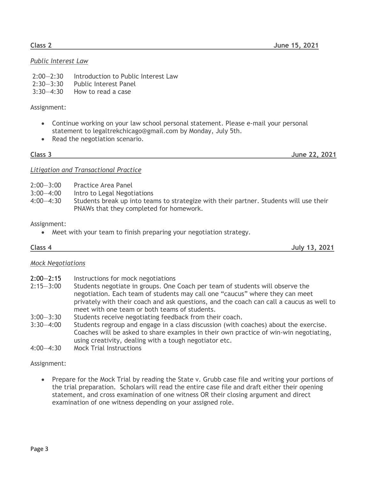#### **Class 2 June 15, 2021**

# *Public Interest Law*

- 2:00—2:30 Introduction to Public Interest Law
- 2:30—3:30 Public Interest Panel
- 3:30—4:30 How to read a case

### Assignment:

- Continue working on your law school personal statement. Please e-mail your personal statement to legaltrekchicago@gmail.com by Monday, July 5th.
- Read the negotiation scenario.

**Class 3 June 22, 2021**

### *Litigation and Transactional Practice*

- 2:00—3:00 Practice Area Panel
- 3:00—4:00 Intro to Legal Negotiations
- 4:00—4:30 Students break up into teams to strategize with their partner. Students will use their PNAWs that they completed for homework.

### Assignment:

• Meet with your team to finish preparing your negotiation strategy.

### **Class 4 July 13, 2021**

# *Mock Negotiations*

- 2:00—2:15 Instructions for mock negotiations
- 2:15—3:00 Students negotiate in groups. One Coach per team of students will observe the negotiation. Each team of students may call one "caucus" where they can meet privately with their coach and ask questions, and the coach can call a caucus as well to meet with one team or both teams of students.
- 3:00—3:30 Students receive negotiating feedback from their coach.
- 3:30—4:00 Students regroup and engage in a class discussion (with coaches) about the exercise. Coaches will be asked to share examples in their own practice of win-win negotiating, using creativity, dealing with a tough negotiator etc.
- 4:00—4:30 Mock Trial Instructions

# Assignment:

• Prepare for the Mock Trial by reading the State v. Grubb case file and writing your portions of the trial preparation. Scholars will read the entire case file and draft either their opening statement, and cross examination of one witness OR their closing argument and direct examination of one witness depending on your assigned role.